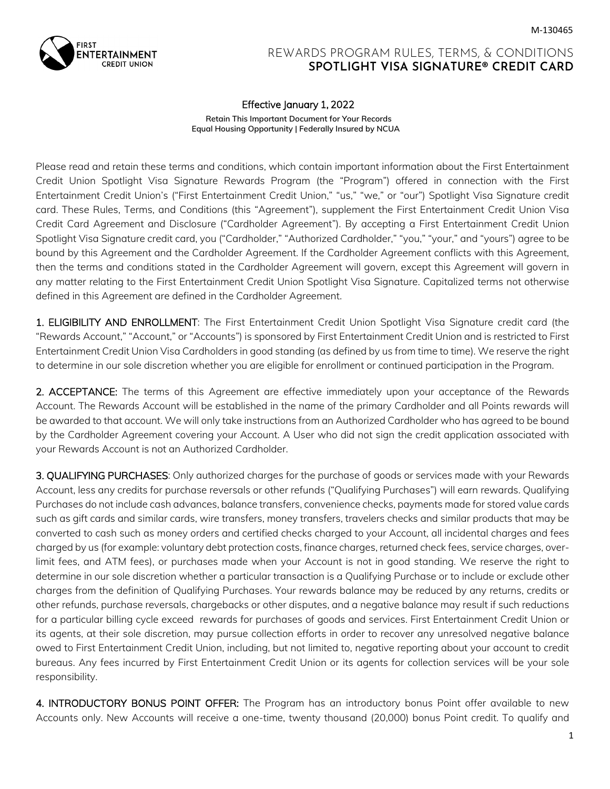

## REWARDS PROGRAM RULES, TERMS, & CONDITIONS **SPOTLIGHT VISA SIGNATURE® CREDIT CARD**

## Effective January 1, 2022

**Retain This Important Document for Your Records Equal Housing Opportunity | Federally Insured by NCUA**

Please read and retain these terms and conditions, which contain important information about the First Entertainment Credit Union Spotlight Visa Signature Rewards Program (the "Program") offered in connection with the First Entertainment Credit Union's ("First Entertainment Credit Union," "us," "we," or "our") Spotlight Visa Signature credit card. These Rules, Terms, and Conditions (this "Agreement"), supplement the First Entertainment Credit Union Visa Credit Card Agreement and Disclosure ("Cardholder Agreement"). By accepting a First Entertainment Credit Union Spotlight Visa Signature credit card, you ("Cardholder," "Authorized Cardholder," "you," "your," and "yours") agree to be bound by this Agreement and the Cardholder Agreement. If the Cardholder Agreement conflicts with this Agreement, then the terms and conditions stated in the Cardholder Agreement will govern, except this Agreement will govern in any matter relating to the First Entertainment Credit Union Spotlight Visa Signature. Capitalized terms not otherwise defined in this Agreement are defined in the Cardholder Agreement.

1. ELIGIBILITY AND ENROLLMENT: The First Entertainment Credit Union Spotlight Visa Signature credit card (the "Rewards Account," "Account," or "Accounts") is sponsored by First Entertainment Credit Union and is restricted to First Entertainment Credit Union Visa Cardholders in good standing (as defined by us from time to time). We reserve the right to determine in our sole discretion whether you are eligible for enrollment or continued participation in the Program.

2. ACCEPTANCE: The terms of this Agreement are effective immediately upon your acceptance of the Rewards Account. The Rewards Account will be established in the name of the primary Cardholder and all Points rewards will be awarded to that account. We will only take instructions from an Authorized Cardholder who has agreed to be bound by the Cardholder Agreement covering your Account. A User who did not sign the credit application associated with your Rewards Account is not an Authorized Cardholder.

3. QUALIFYING PURCHASES: Only authorized charges for the purchase of goods or services made with your Rewards Account, less any credits for purchase reversals or other refunds ("Qualifying Purchases") will earn rewards. Qualifying Purchases do not include cash advances, balance transfers, convenience checks, payments made for stored value cards such as gift cards and similar cards, wire transfers, money transfers, travelers checks and similar products that may be converted to cash such as money orders and certified checks charged to your Account, all incidental charges and fees charged by us (for example: voluntary debt protection costs, finance charges, returned check fees, service charges, overlimit fees, and ATM fees), or purchases made when your Account is not in good standing. We reserve the right to determine in our sole discretion whether a particular transaction is a Qualifying Purchase or to include or exclude other charges from the definition of Qualifying Purchases. Your rewards balance may be reduced by any returns, credits or other refunds, purchase reversals, chargebacks or other disputes, and a negative balance may result if such reductions for a particular billing cycle exceed rewards for purchases of goods and services. First Entertainment Credit Union or its agents, at their sole discretion, may pursue collection efforts in order to recover any unresolved negative balance owed to First Entertainment Credit Union, including, but not limited to, negative reporting about your account to credit bureaus. Any fees incurred by First Entertainment Credit Union or its agents for collection services will be your sole responsibility.

4. INTRODUCTORY BONUS POINT OFFER: The Program has an introductory bonus Point offer available to new Accounts only. New Accounts will receive a one-time, twenty thousand (20,000) bonus Point credit. To qualify and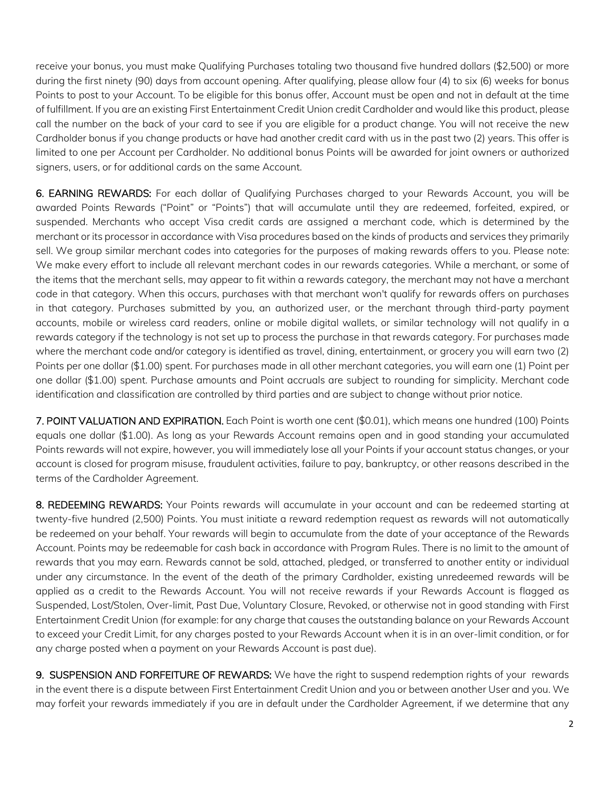receive your bonus, you must make Qualifying Purchases totaling two thousand five hundred dollars (\$2,500) or more during the first ninety (90) days from account opening. After qualifying, please allow four (4) to six (6) weeks for bonus Points to post to your Account. To be eligible for this bonus offer, Account must be open and not in default at the time of fulfillment. If you are an existing First Entertainment Credit Union credit Cardholder and would like this product, please call the number on the back of your card to see if you are eligible for a product change. You will not receive the new Cardholder bonus if you change products or have had another credit card with us in the past two (2) years. This offer is limited to one per Account per Cardholder. No additional bonus Points will be awarded for joint owners or authorized signers, users, or for additional cards on the same Account.

6. EARNING REWARDS: For each dollar of Qualifying Purchases charged to your Rewards Account, you will be awarded Points Rewards ("Point" or "Points") that will accumulate until they are redeemed, forfeited, expired, or suspended. Merchants who accept Visa credit cards are assigned a merchant code, which is determined by the merchant or its processor in accordance with Visa procedures based on the kinds of products and services they primarily sell. We group similar merchant codes into categories for the purposes of making rewards offers to you. Please note: We make every effort to include all relevant merchant codes in our rewards categories. While a merchant, or some of the items that the merchant sells, may appear to fit within a rewards category, the merchant may not have a merchant code in that category. When this occurs, purchases with that merchant won't qualify for rewards offers on purchases in that category. Purchases submitted by you, an authorized user, or the merchant through third-party payment accounts, mobile or wireless card readers, online or mobile digital wallets, or similar technology will not qualify in a rewards category if the technology is not set up to process the purchase in that rewards category. For purchases made where the merchant code and/or category is identified as travel, dining, entertainment, or grocery you will earn two (2) Points per one dollar (\$1.00) spent. For purchases made in all other merchant categories, you will earn one (1) Point per one dollar (\$1.00) spent. Purchase amounts and Point accruals are subject to rounding for simplicity. Merchant code identification and classification are controlled by third parties and are subject to change without prior notice.

7. POINT VALUATION AND EXPIRATION. Each Point is worth one cent (\$0.01), which means one hundred (100) Points equals one dollar (\$1.00). As long as your Rewards Account remains open and in good standing your accumulated Points rewards will not expire, however, you will immediately lose all your Points if your account status changes, or your account is closed for program misuse, fraudulent activities, failure to pay, bankruptcy, or other reasons described in the terms of the Cardholder Agreement.

8. REDEEMING REWARDS: Your Points rewards will accumulate in your account and can be redeemed starting at twenty-five hundred (2,500) Points. You must initiate a reward redemption request as rewards will not automatically be redeemed on your behalf. Your rewards will begin to accumulate from the date of your acceptance of the Rewards Account. Points may be redeemable for cash back in accordance with Program Rules. There is no limit to the amount of rewards that you may earn. Rewards cannot be sold, attached, pledged, or transferred to another entity or individual under any circumstance. In the event of the death of the primary Cardholder, existing unredeemed rewards will be applied as a credit to the Rewards Account. You will not receive rewards if your Rewards Account is flagged as Suspended, Lost/Stolen, Over-limit, Past Due, Voluntary Closure, Revoked, or otherwise not in good standing with First Entertainment Credit Union (for example: for any charge that causes the outstanding balance on your Rewards Account to exceed your Credit Limit, for any charges posted to your Rewards Account when it is in an over-limit condition, or for any charge posted when a payment on your Rewards Account is past due).

9. SUSPENSION AND FORFEITURE OF REWARDS: We have the right to suspend redemption rights of your rewards in the event there is a dispute between First Entertainment Credit Union and you or between another User and you. We may forfeit your rewards immediately if you are in default under the Cardholder Agreement, if we determine that any